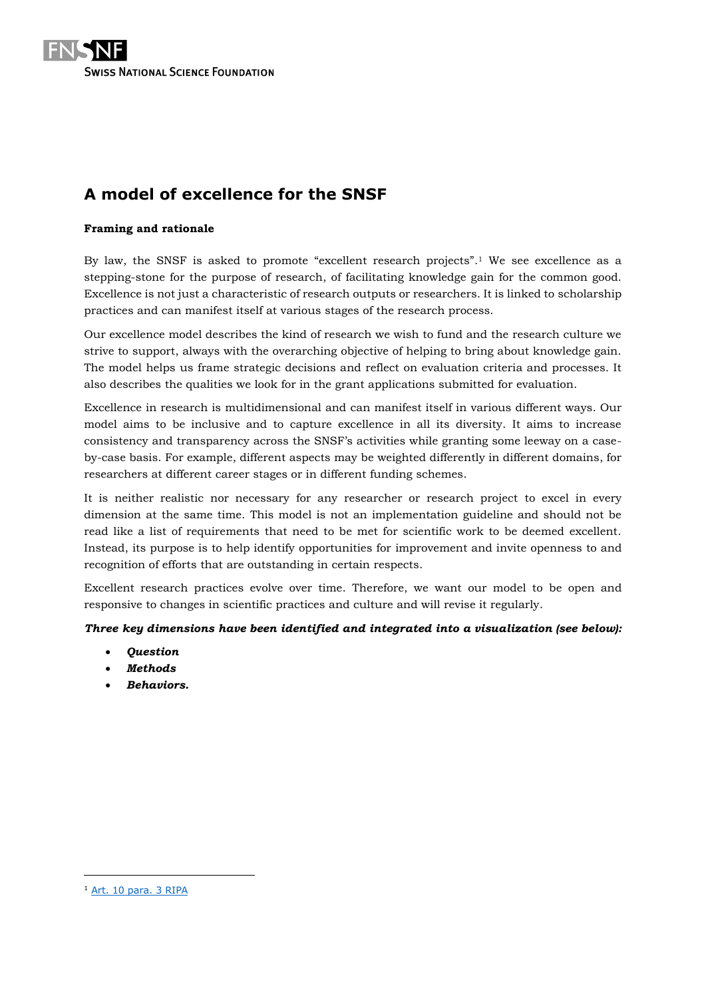

# **A model of excellence for the SNSF**

## **Framing and rationale**

By law, the SNSF is asked to promote "excellent research projects". <sup>1</sup> We see excellence as a stepping-stone for the purpose of research, of facilitating knowledge gain for the common good. Excellence is not just a characteristic of research outputs or researchers. It is linked to scholarship practices and can manifest itself at various stages of the research process.

Our excellence model describes the kind of research we wish to fund and the research culture we strive to support, always with the overarching objective of helping to bring about knowledge gain. The model helps us frame strategic decisions and reflect on evaluation criteria and processes. It also describes the qualities we look for in the grant applications submitted for evaluation.

Excellence in research is multidimensional and can manifest itself in various different ways. Our model aims to be inclusive and to capture excellence in all its diversity. It aims to increase consistency and transparency across the SNSF's activities while granting some leeway on a caseby-case basis. For example, different aspects may be weighted differently in different domains, for researchers at different career stages or in different funding schemes.

It is neither realistic nor necessary for any researcher or research project to excel in every dimension at the same time. This model is not an implementation guideline and should not be read like a list of requirements that need to be met for scientific work to be deemed excellent. Instead, its purpose is to help identify opportunities for improvement and invite openness to and recognition of efforts that are outstanding in certain respects.

Excellent research practices evolve over time. Therefore, we want our model to be open and responsive to changes in scientific practices and culture and will revise it regularly.

## *Three key dimensions have been identified and integrated into a visualization (see below):*

- *Question*
- *Methods*
- *Behaviors.*

<sup>&</sup>lt;sup>1</sup> [Art. 10 para. 3 RIPA](https://www.admin.ch/opc/en/classified-compilation/20091419/index.html#a10)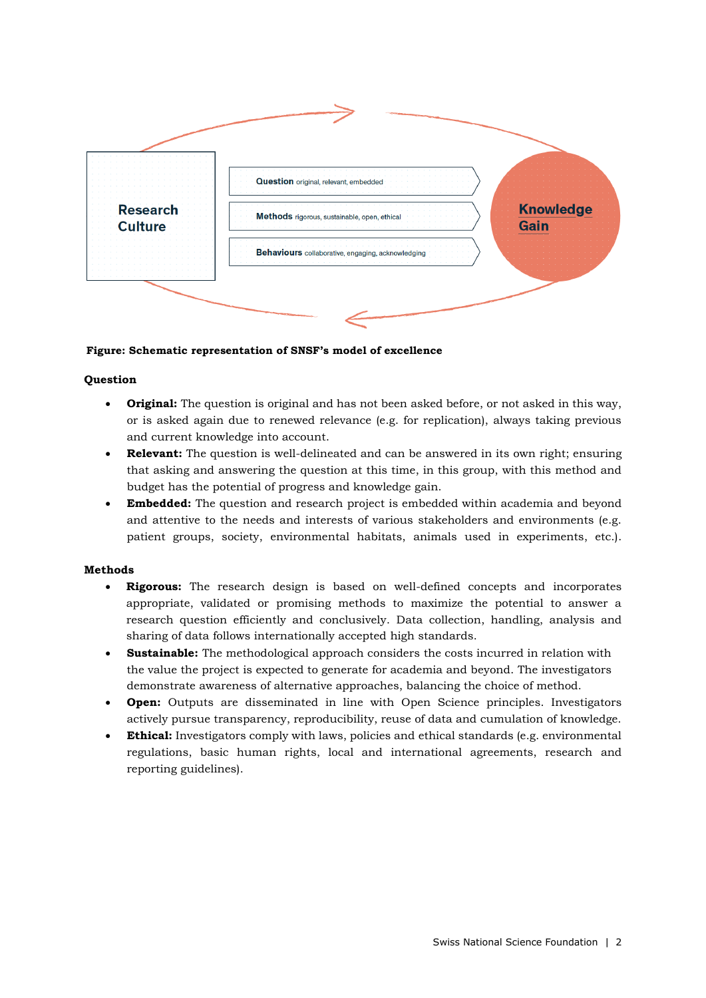

### **Figure: Schematic representation of SNSF's model of excellence**

#### **Question**

- **Original:** The question is original and has not been asked before, or not asked in this way, or is asked again due to renewed relevance (e.g. for replication), always taking previous and current knowledge into account.
- **Relevant:** The question is well-delineated and can be answered in its own right; ensuring that asking and answering the question at this time, in this group, with this method and budget has the potential of progress and knowledge gain.
- **Embedded:** The question and research project is embedded within academia and beyond and attentive to the needs and interests of various stakeholders and environments (e.g. patient groups, society, environmental habitats, animals used in experiments, etc.).

### **Methods**

- **Rigorous:** The research design is based on well-defined concepts and incorporates appropriate, validated or promising methods to maximize the potential to answer a research question efficiently and conclusively. Data collection, handling, analysis and sharing of data follows internationally accepted high standards.
- **Sustainable:** The methodological approach considers the costs incurred in relation with the value the project is expected to generate for academia and beyond. The investigators demonstrate awareness of alternative approaches, balancing the choice of method.
- **Open:** Outputs are disseminated in line with Open Science principles. Investigators actively pursue transparency, reproducibility, reuse of data and cumulation of knowledge.
- **Ethical:** Investigators comply with laws, policies and ethical standards (e.g. environmental regulations, basic human rights, local and international agreements, research and reporting guidelines).